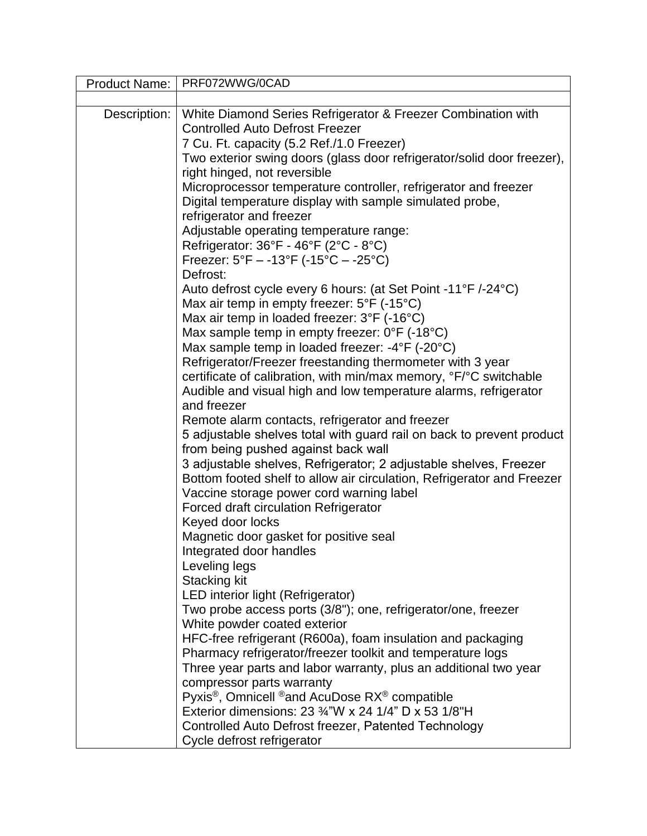| <b>Product Name:</b> | PRF072WWG/0CAD                                                                    |
|----------------------|-----------------------------------------------------------------------------------|
|                      |                                                                                   |
| Description:         | White Diamond Series Refrigerator & Freezer Combination with                      |
|                      | <b>Controlled Auto Defrost Freezer</b>                                            |
|                      | 7 Cu. Ft. capacity (5.2 Ref./1.0 Freezer)                                         |
|                      | Two exterior swing doors (glass door refrigerator/solid door freezer),            |
|                      | right hinged, not reversible                                                      |
|                      | Microprocessor temperature controller, refrigerator and freezer                   |
|                      | Digital temperature display with sample simulated probe,                          |
|                      | refrigerator and freezer                                                          |
|                      | Adjustable operating temperature range:                                           |
|                      | Refrigerator: 36°F - 46°F (2°C - 8°C)                                             |
|                      | Freezer: $5^{\circ}F - -13^{\circ}F (-15^{\circ}C - -25^{\circ}C)$<br>Defrost:    |
|                      | Auto defrost cycle every 6 hours: (at Set Point -11°F /-24°C)                     |
|                      | Max air temp in empty freezer: 5°F (-15°C)                                        |
|                      | Max air temp in loaded freezer: 3°F (-16°C)                                       |
|                      | Max sample temp in empty freezer: $0^{\circ}F$ (-18 $^{\circ}C$ )                 |
|                      | Max sample temp in loaded freezer: -4°F (-20°C)                                   |
|                      | Refrigerator/Freezer freestanding thermometer with 3 year                         |
|                      | certificate of calibration, with min/max memory, °F/°C switchable                 |
|                      | Audible and visual high and low temperature alarms, refrigerator                  |
|                      | and freezer                                                                       |
|                      | Remote alarm contacts, refrigerator and freezer                                   |
|                      | 5 adjustable shelves total with guard rail on back to prevent product             |
|                      | from being pushed against back wall                                               |
|                      | 3 adjustable shelves, Refrigerator; 2 adjustable shelves, Freezer                 |
|                      | Bottom footed shelf to allow air circulation, Refrigerator and Freezer            |
|                      | Vaccine storage power cord warning label                                          |
|                      | Forced draft circulation Refrigerator                                             |
|                      | Keyed door locks<br>Magnetic door gasket for positive seal                        |
|                      | Integrated door handles                                                           |
|                      | Leveling legs                                                                     |
|                      | <b>Stacking kit</b>                                                               |
|                      | LED interior light (Refrigerator)                                                 |
|                      | Two probe access ports (3/8"); one, refrigerator/one, freezer                     |
|                      | White powder coated exterior                                                      |
|                      | HFC-free refrigerant (R600a), foam insulation and packaging                       |
|                      | Pharmacy refrigerator/freezer toolkit and temperature logs                        |
|                      | Three year parts and labor warranty, plus an additional two year                  |
|                      | compressor parts warranty                                                         |
|                      | Pyxis <sup>®</sup> , Omnicell <sup>®</sup> and AcuDose RX <sup>®</sup> compatible |
|                      | Exterior dimensions: 23 3/4"W x 24 1/4" D x 53 1/8"H                              |
|                      | Controlled Auto Defrost freezer, Patented Technology                              |
|                      | Cycle defrost refrigerator                                                        |